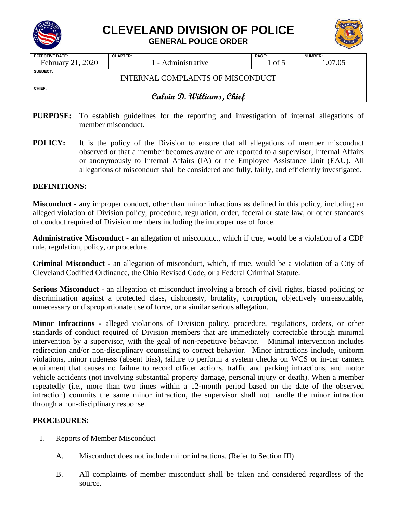

## **CLEVELAND DIVISION OF POLICE**

**GENERAL POLICE ORDER**

| <b>EFFECTIVE DATE:</b>            | <b>CHAPTER:</b>    | PAGE:  | <b>NUMBER:</b> |
|-----------------------------------|--------------------|--------|----------------|
| February 21, 2020                 | 1 - Administrative | 1 of 5 | 1.07.05        |
| <b>SUBJECT:</b>                   |                    |        |                |
| INTERNAL COMPLAINTS OF MISCONDUCT |                    |        |                |
| CHIEF:                            |                    |        |                |
| Calvin D. Williams, Chief         |                    |        |                |

- **PURPOSE:** To establish guidelines for the reporting and investigation of internal allegations of member misconduct.
- **POLICY:** It is the policy of the Division to ensure that all allegations of member misconduct observed or that a member becomes aware of are reported to a supervisor, Internal Affairs or anonymously to Internal Affairs (IA) or the Employee Assistance Unit (EAU). All allegations of misconduct shall be considered and fully, fairly, and efficiently investigated.

## **DEFINITIONS:**

**Misconduct -** any improper conduct, other than minor infractions as defined in this policy, including an alleged violation of Division policy, procedure, regulation, order, federal or state law, or other standards of conduct required of Division members including the improper use of force.

**Administrative Misconduct -** an allegation of misconduct, which if true, would be a violation of a CDP rule, regulation, policy, or procedure.

**Criminal Misconduct -** an allegation of misconduct, which, if true, would be a violation of a City of Cleveland Codified Ordinance, the Ohio Revised Code, or a Federal Criminal Statute.

**Serious Misconduct -** an allegation of misconduct involving a breach of civil rights, biased policing or discrimination against a protected class, dishonesty, brutality, corruption, objectively unreasonable, unnecessary or disproportionate use of force, or a similar serious allegation.

**Minor Infractions -** alleged violations of Division policy, procedure, regulations, orders, or other standards of conduct required of Division members that are immediately correctable through minimal intervention by a supervisor, with the goal of non-repetitive behavior. Minimal intervention includes redirection and/or non-disciplinary counseling to correct behavior. Minor infractions include, uniform violations, minor rudeness (absent bias), failure to perform a system checks on WCS or in-car camera equipment that causes no failure to record officer actions, traffic and parking infractions, and motor vehicle accidents (not involving substantial property damage, personal injury or death). When a member repeatedly (i.e., more than two times within a 12-month period based on the date of the observed infraction) commits the same minor infraction, the supervisor shall not handle the minor infraction through a non-disciplinary response.

## **PROCEDURES:**

- I. Reports of Member Misconduct
	- A. Misconduct does not include minor infractions. (Refer to Section III)
	- B. All complaints of member misconduct shall be taken and considered regardless of the source.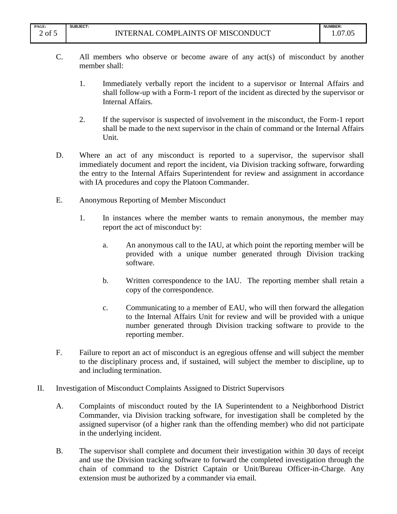- C. All members who observe or become aware of any act(s) of misconduct by another member shall:
	- 1. Immediately verbally report the incident to a supervisor or Internal Affairs and shall follow-up with a Form-1 report of the incident as directed by the supervisor or Internal Affairs.
	- 2. If the supervisor is suspected of involvement in the misconduct, the Form-1 report shall be made to the next supervisor in the chain of command or the Internal Affairs Unit.
- D. Where an act of any misconduct is reported to a supervisor, the supervisor shall immediately document and report the incident, via Division tracking software, forwarding the entry to the Internal Affairs Superintendent for review and assignment in accordance with IA procedures and copy the Platoon Commander.
- E. Anonymous Reporting of Member Misconduct
	- 1. In instances where the member wants to remain anonymous, the member may report the act of misconduct by:
		- a. An anonymous call to the IAU, at which point the reporting member will be provided with a unique number generated through Division tracking software.
		- b. Written correspondence to the IAU. The reporting member shall retain a copy of the correspondence.
		- c. Communicating to a member of EAU, who will then forward the allegation to the Internal Affairs Unit for review and will be provided with a unique number generated through Division tracking software to provide to the reporting member.
- F. Failure to report an act of misconduct is an egregious offense and will subject the member to the disciplinary process and, if sustained, will subject the member to discipline, up to and including termination.
- II. Investigation of Misconduct Complaints Assigned to District Supervisors
	- A. Complaints of misconduct routed by the IA Superintendent to a Neighborhood District Commander, via Division tracking software, for investigation shall be completed by the assigned supervisor (of a higher rank than the offending member) who did not participate in the underlying incident.
	- B. The supervisor shall complete and document their investigation within 30 days of receipt and use the Division tracking software to forward the completed investigation through the chain of command to the District Captain or Unit/Bureau Officer-in-Charge. Any extension must be authorized by a commander via email.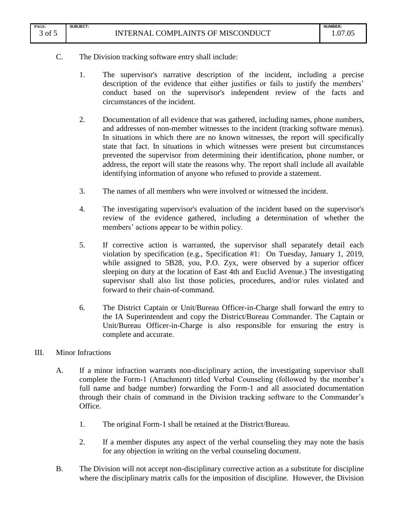- C. The Division tracking software entry shall include:
	- 1. The supervisor's narrative description of the incident, including a precise description of the evidence that either justifies or fails to justify the members' conduct based on the supervisor's independent review of the facts and circumstances of the incident.
	- 2. Documentation of all evidence that was gathered, including names, phone numbers, and addresses of non-member witnesses to the incident (tracking software menus). In situations in which there are no known witnesses, the report will specifically state that fact. In situations in which witnesses were present but circumstances prevented the supervisor from determining their identification, phone number, or address, the report will state the reasons why. The report shall include all available identifying information of anyone who refused to provide a statement.
	- 3. The names of all members who were involved or witnessed the incident.
	- 4. The investigating supervisor's evaluation of the incident based on the supervisor's review of the evidence gathered, including a determination of whether the members' actions appear to be within policy.
	- 5. If corrective action is warranted, the supervisor shall separately detail each violation by specification (e.g., Specification #1: On Tuesday, January 1, 2019, while assigned to 5B28, you, P.O. Zyx, were observed by a superior officer sleeping on duty at the location of East 4th and Euclid Avenue.) The investigating supervisor shall also list those policies, procedures, and/or rules violated and forward to their chain-of-command.
	- 6. The District Captain or Unit/Bureau Officer-in-Charge shall forward the entry to the IA Superintendent and copy the District/Bureau Commander. The Captain or Unit/Bureau Officer-in-Charge is also responsible for ensuring the entry is complete and accurate.
- III. Minor Infractions
	- A. If a minor infraction warrants non-disciplinary action, the investigating supervisor shall complete the Form-1 (Attachment) titled Verbal Counseling (followed by the member's full name and badge number) forwarding the Form-1 and all associated documentation through their chain of command in the Division tracking software to the Commander's Office.
		- 1. The original Form-1 shall be retained at the District/Bureau.
		- 2. If a member disputes any aspect of the verbal counseling they may note the basis for any objection in writing on the verbal counseling document.
	- B. The Division will not accept non-disciplinary corrective action as a substitute for discipline where the disciplinary matrix calls for the imposition of discipline. However, the Division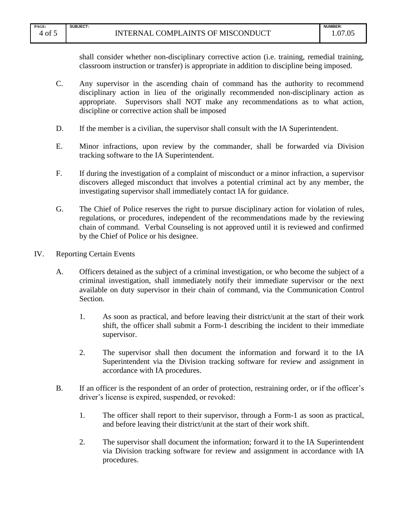shall consider whether non-disciplinary corrective action (i.e. training, remedial training, classroom instruction or transfer) is appropriate in addition to discipline being imposed.

- C. Any supervisor in the ascending chain of command has the authority to recommend disciplinary action in lieu of the originally recommended non-disciplinary action as appropriate. Supervisors shall NOT make any recommendations as to what action, discipline or corrective action shall be imposed
- D. If the member is a civilian, the supervisor shall consult with the IA Superintendent.
- E. Minor infractions, upon review by the commander, shall be forwarded via Division tracking software to the IA Superintendent.
- F. If during the investigation of a complaint of misconduct or a minor infraction, a supervisor discovers alleged misconduct that involves a potential criminal act by any member, the investigating supervisor shall immediately contact IA for guidance.
- G. The Chief of Police reserves the right to pursue disciplinary action for violation of rules, regulations, or procedures, independent of the recommendations made by the reviewing chain of command. Verbal Counseling is not approved until it is reviewed and confirmed by the Chief of Police or his designee.
- IV. Reporting Certain Events
	- A. Officers detained as the subject of a criminal investigation, or who become the subject of a criminal investigation, shall immediately notify their immediate supervisor or the next available on duty supervisor in their chain of command, via the Communication Control Section.
		- 1. As soon as practical, and before leaving their district/unit at the start of their work shift, the officer shall submit a Form-1 describing the incident to their immediate supervisor.
		- 2. The supervisor shall then document the information and forward it to the IA Superintendent via the Division tracking software for review and assignment in accordance with IA procedures.
	- B. If an officer is the respondent of an order of protection, restraining order, or if the officer's driver's license is expired, suspended, or revoked:
		- 1. The officer shall report to their supervisor, through a Form-1 as soon as practical, and before leaving their district/unit at the start of their work shift.
		- 2. The supervisor shall document the information; forward it to the IA Superintendent via Division tracking software for review and assignment in accordance with IA procedures.